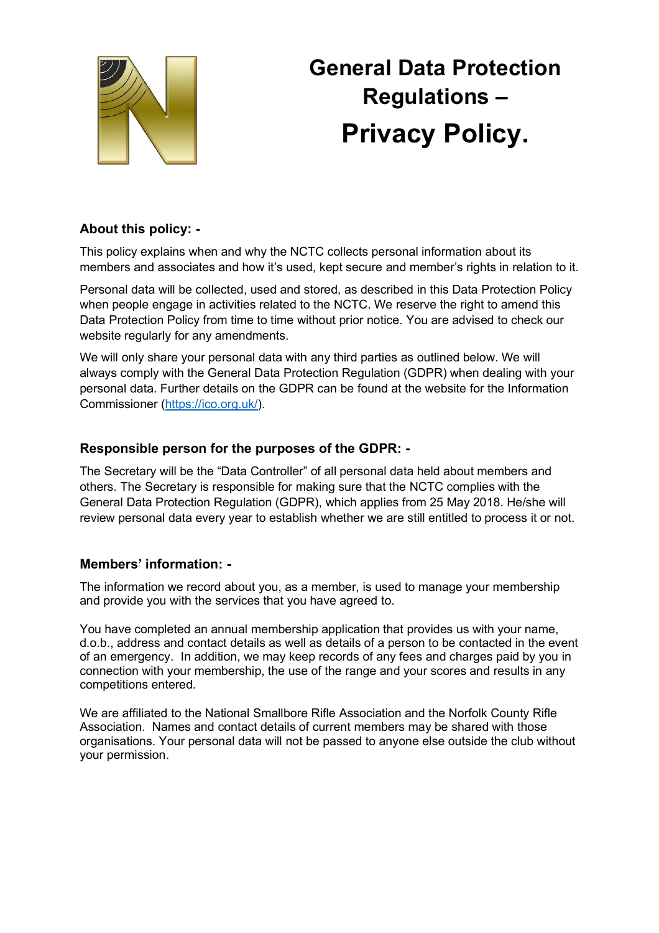

# **General Data Protection Regulations – Privacy Policy.**

# **About this policy: -**

This policy explains when and why the NCTC collects personal information about its members and associates and how it's used, kept secure and member's rights in relation to it.

Personal data will be collected, used and stored, as described in this Data Protection Policy when people engage in activities related to the NCTC. We reserve the right to amend this Data Protection Policy from time to time without prior notice. You are advised to check our website regularly for any amendments.

We will only share your personal data with any third parties as outlined below. We will always comply with the General Data Protection Regulation (GDPR) when dealing with your personal data. Further details on the GDPR can be found at the website for the Information Commissioner (https://ico.org.uk/).

## **Responsible person for the purposes of the GDPR: -**

The Secretary will be the "Data Controller" of all personal data held about members and others. The Secretary is responsible for making sure that the NCTC complies with the General Data Protection Regulation (GDPR), which applies from 25 May 2018. He/she will review personal data every year to establish whether we are still entitled to process it or not.

## **Members' information: -**

The information we record about you, as a member, is used to manage your membership and provide you with the services that you have agreed to.

You have completed an annual membership application that provides us with your name, d.o.b., address and contact details as well as details of a person to be contacted in the event of an emergency. In addition, we may keep records of any fees and charges paid by you in connection with your membership, the use of the range and your scores and results in any competitions entered.

We are affiliated to the National Smallbore Rifle Association and the Norfolk County Rifle Association. Names and contact details of current members may be shared with those organisations. Your personal data will not be passed to anyone else outside the club without your permission.